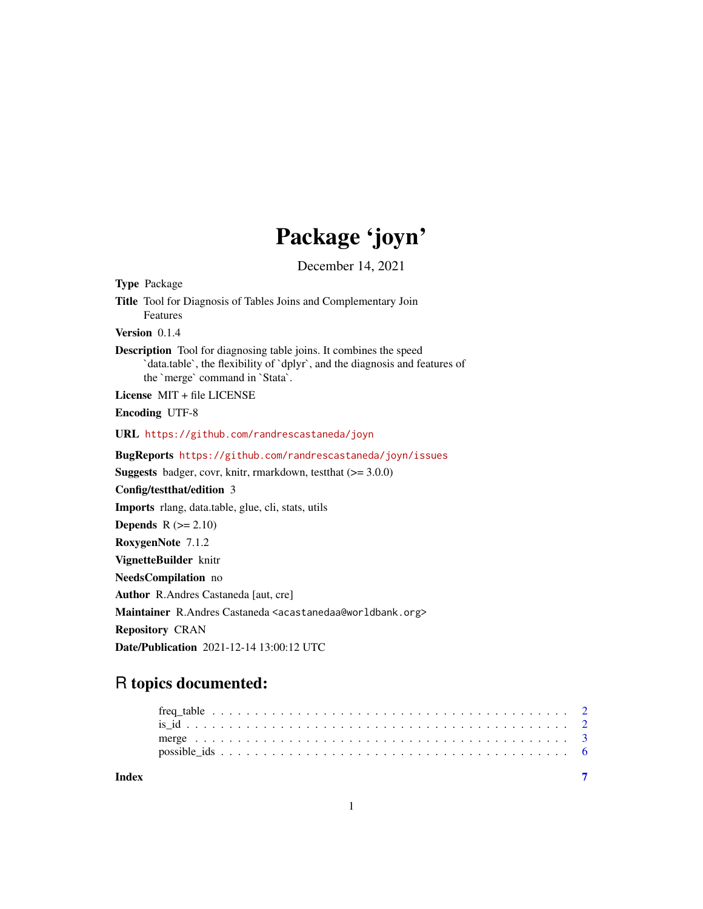# Package 'joyn'

December 14, 2021

| <b>Type Package</b>                                                                                                                                                                         |
|---------------------------------------------------------------------------------------------------------------------------------------------------------------------------------------------|
| Title Tool for Diagnosis of Tables Joins and Complementary Join<br><b>Features</b>                                                                                                          |
| Version 0.1.4                                                                                                                                                                               |
| <b>Description</b> Tool for diagnosing table joins. It combines the speed<br>`data.table`, the flexibility of `dplyr`, and the diagnosis and features of<br>the `merge` command in `Stata`. |
| License $MIT + file LICENSE$                                                                                                                                                                |
| <b>Encoding UTF-8</b>                                                                                                                                                                       |
| URL https://github.com/randrescastaneda/joyn                                                                                                                                                |
| BugReports https://github.com/randrescastaneda/joyn/issues                                                                                                                                  |
| <b>Suggests</b> badger, covr, knitr, rmarkdown, test that $(>= 3.0.0)$                                                                                                                      |
| Config/testthat/edition 3                                                                                                                                                                   |
| Imports rlang, data.table, glue, cli, stats, utils                                                                                                                                          |
| <b>Depends</b> $R (= 2.10)$                                                                                                                                                                 |
| RoxygenNote 7.1.2                                                                                                                                                                           |
| VignetteBuilder knitr                                                                                                                                                                       |
| NeedsCompilation no                                                                                                                                                                         |
| <b>Author</b> R.Andres Castaneda [aut. cre]                                                                                                                                                 |
| Maintainer R.Andres Castaneda <acastanedaa@worldbank.org></acastanedaa@worldbank.org>                                                                                                       |
| <b>Repository CRAN</b>                                                                                                                                                                      |
| <b>Date/Publication</b> 2021-12-14 13:00:12 UTC                                                                                                                                             |
|                                                                                                                                                                                             |

# R topics documented:

| Index |  |  |  |  |  |  |  |  |  |  |  |  |  |  |  |  |  |  |  |
|-------|--|--|--|--|--|--|--|--|--|--|--|--|--|--|--|--|--|--|--|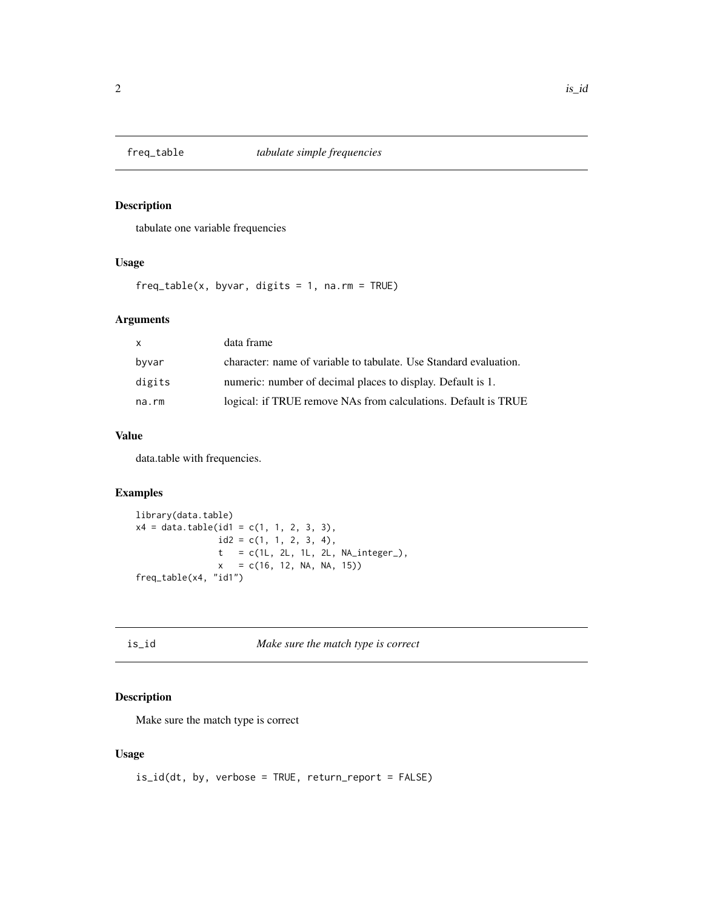<span id="page-1-0"></span>

#### Description

tabulate one variable frequencies

## Usage

 $freq_table(x, byvar, digits = 1, na.rm = TRUE)$ 

#### Arguments

| $\mathsf{x}$ | data frame                                                        |
|--------------|-------------------------------------------------------------------|
| byvar        | character: name of variable to tabulate. Use Standard evaluation. |
| digits       | numeric: number of decimal places to display. Default is 1.       |
| na.rm        | logical: if TRUE remove NAs from calculations. Default is TRUE    |

#### Value

data.table with frequencies.

## Examples

```
library(data.table)
x4 = data.table(id1 = c(1, 1, 2, 3, 3),id2 = c(1, 1, 2, 3, 4),t = c(1L, 2L, 1L, 2L, NA\_integer_),x = c(16, 12, NA, NA, 15)freq_table(x4, "id1")
```
is\_id *Make sure the match type is correct*

#### Description

Make sure the match type is correct

#### Usage

```
is_id(dt, by, verbose = TRUE, return_report = FALSE)
```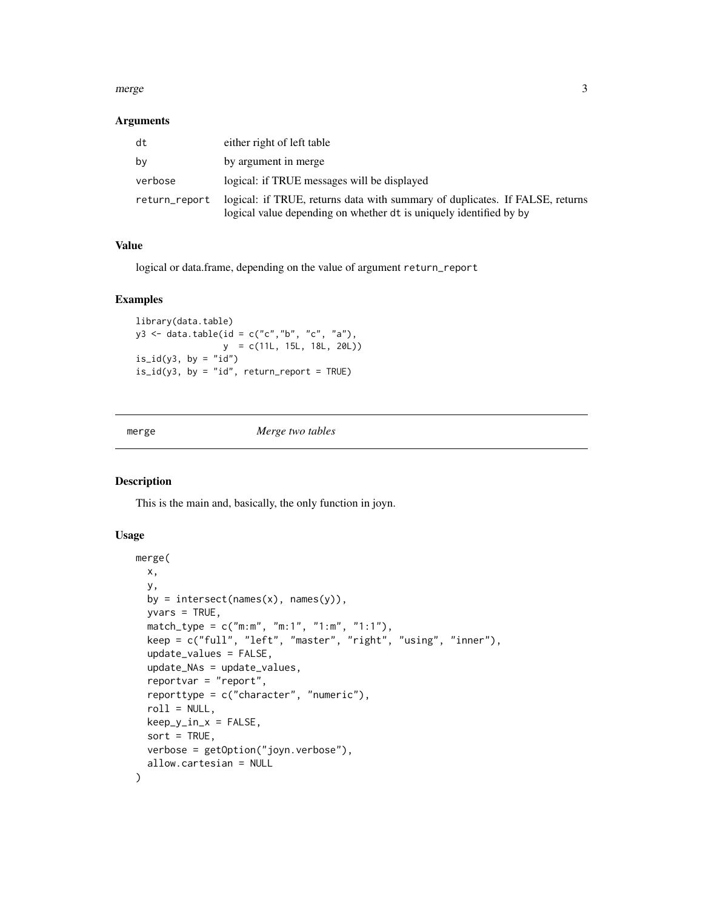#### <span id="page-2-0"></span>merge 3

#### Arguments

| dt            | either right of left table                                                                                                                         |
|---------------|----------------------------------------------------------------------------------------------------------------------------------------------------|
| bv            | by argument in merge                                                                                                                               |
| verbose       | logical: if TRUE messages will be displayed                                                                                                        |
| return_report | logical: if TRUE, returns data with summary of duplicates. If FALSE, returns<br>logical value depending on whether dt is uniquely identified by by |

#### Value

logical or data.frame, depending on the value of argument return\_report

#### Examples

```
library(data.table)
y3 <- data.table(id = c("c","b", "c", "a"),
                y = c(11L, 15L, 18L, 20L))
is\_id(y3, by = "id")is_id(y3, by = "id", return\_report = TRUE)
```
merge *Merge two tables*

#### Description

This is the main and, basically, the only function in joyn.

#### Usage

```
merge(
 x,
 y,
 by = intersect(names(x), names(y)),
 yvars = TRUE,
 match\_type = c("m:m", "m:1", "1:m", "1:1"),
 keep = c("full", "left", "master", "right", "using", "inner"),
  update_values = FALSE,
  update_NAs = update_values,
  reportvar = "report",
  reporttype = c("character", "numeric"),
  roll = NULL,keep_y_in_x = FALSE,sort = TRUE,
 verbose = getOption("joyn.verbose"),
  allow.cartesian = NULL
)
```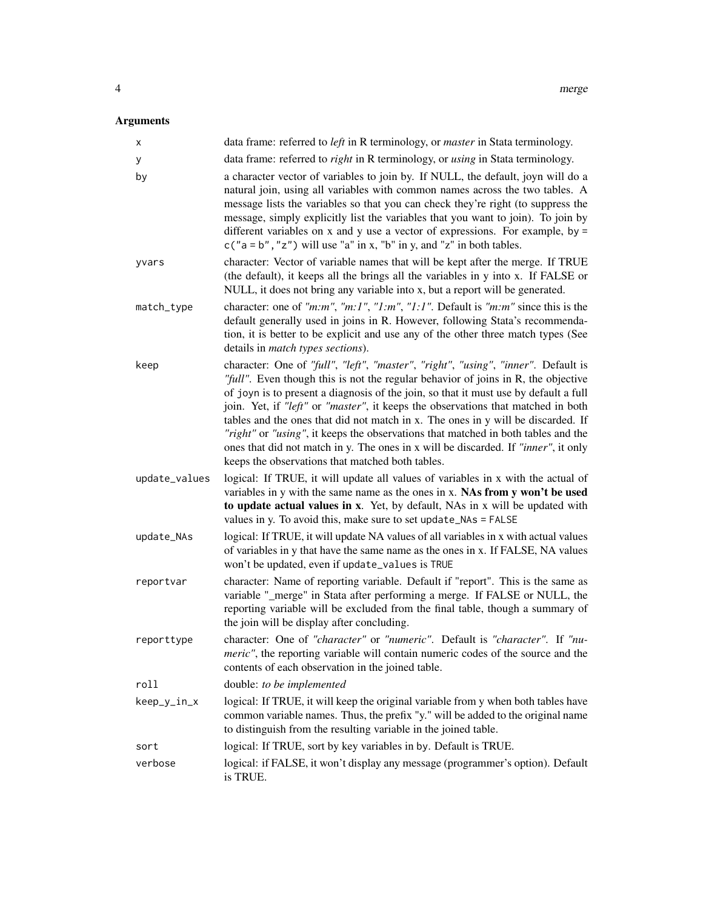# Arguments

| х             | data frame: referred to left in R terminology, or master in Stata terminology.                                                                                                                                                                                                                                                                                                                                                                                                                                                                                                                                                                                        |
|---------------|-----------------------------------------------------------------------------------------------------------------------------------------------------------------------------------------------------------------------------------------------------------------------------------------------------------------------------------------------------------------------------------------------------------------------------------------------------------------------------------------------------------------------------------------------------------------------------------------------------------------------------------------------------------------------|
| у             | data frame: referred to <i>right</i> in R terminology, or <i>using</i> in Stata terminology.                                                                                                                                                                                                                                                                                                                                                                                                                                                                                                                                                                          |
| by            | a character vector of variables to join by. If NULL, the default, joyn will do a<br>natural join, using all variables with common names across the two tables. A<br>message lists the variables so that you can check they're right (to suppress the<br>message, simply explicitly list the variables that you want to join). To join by<br>different variables on x and y use a vector of expressions. For example, by $=$<br>$c("a = b", "z")$ will use "a" in x, "b" in y, and "z" in both tables.                                                                                                                                                                 |
| yvars         | character: Vector of variable names that will be kept after the merge. If TRUE<br>(the default), it keeps all the brings all the variables in y into x. If FALSE or<br>NULL, it does not bring any variable into x, but a report will be generated.                                                                                                                                                                                                                                                                                                                                                                                                                   |
| match_type    | character: one of "m:m", "m:1", "1:m", "1:1". Default is "m:m" since this is the<br>default generally used in joins in R. However, following Stata's recommenda-<br>tion, it is better to be explicit and use any of the other three match types (See<br>details in <i>match types sections</i> ).                                                                                                                                                                                                                                                                                                                                                                    |
| keep          | character: One of "full", "left", "master", "right", "using", "inner". Default is<br>"full". Even though this is not the regular behavior of joins in R, the objective<br>of joyn is to present a diagnosis of the join, so that it must use by default a full<br>join. Yet, if "left" or "master", it keeps the observations that matched in both<br>tables and the ones that did not match in x. The ones in y will be discarded. If<br>"right" or "using", it keeps the observations that matched in both tables and the<br>ones that did not match in y. The ones in x will be discarded. If "inner", it only<br>keeps the observations that matched both tables. |
| update_values | logical: If TRUE, it will update all values of variables in x with the actual of<br>variables in y with the same name as the ones in x. NAs from y won't be used<br>to update actual values in x. Yet, by default, NAs in x will be updated with<br>values in y. To avoid this, make sure to set update_NAs = FALSE                                                                                                                                                                                                                                                                                                                                                   |
| update_NAs    | logical: If TRUE, it will update NA values of all variables in x with actual values<br>of variables in y that have the same name as the ones in x. If FALSE, NA values<br>won't be updated, even if update_values is TRUE                                                                                                                                                                                                                                                                                                                                                                                                                                             |
| reportvar     | character: Name of reporting variable. Default if "report". This is the same as<br>variable "_merge" in Stata after performing a merge. If FALSE or NULL, the<br>reporting variable will be excluded from the final table, though a summary of<br>the join will be display after concluding.                                                                                                                                                                                                                                                                                                                                                                          |
| reporttype    | character: One of "character" or "numeric". Default is "character". If "nu-<br>meric", the reporting variable will contain numeric codes of the source and the<br>contents of each observation in the joined table.                                                                                                                                                                                                                                                                                                                                                                                                                                                   |
| roll          | double: to be implemented                                                                                                                                                                                                                                                                                                                                                                                                                                                                                                                                                                                                                                             |
| keep_y_in_x   | logical: If TRUE, it will keep the original variable from y when both tables have<br>common variable names. Thus, the prefix "y." will be added to the original name<br>to distinguish from the resulting variable in the joined table.                                                                                                                                                                                                                                                                                                                                                                                                                               |
| sort          | logical: If TRUE, sort by key variables in by. Default is TRUE.                                                                                                                                                                                                                                                                                                                                                                                                                                                                                                                                                                                                       |
| verbose       | logical: if FALSE, it won't display any message (programmer's option). Default<br>is TRUE.                                                                                                                                                                                                                                                                                                                                                                                                                                                                                                                                                                            |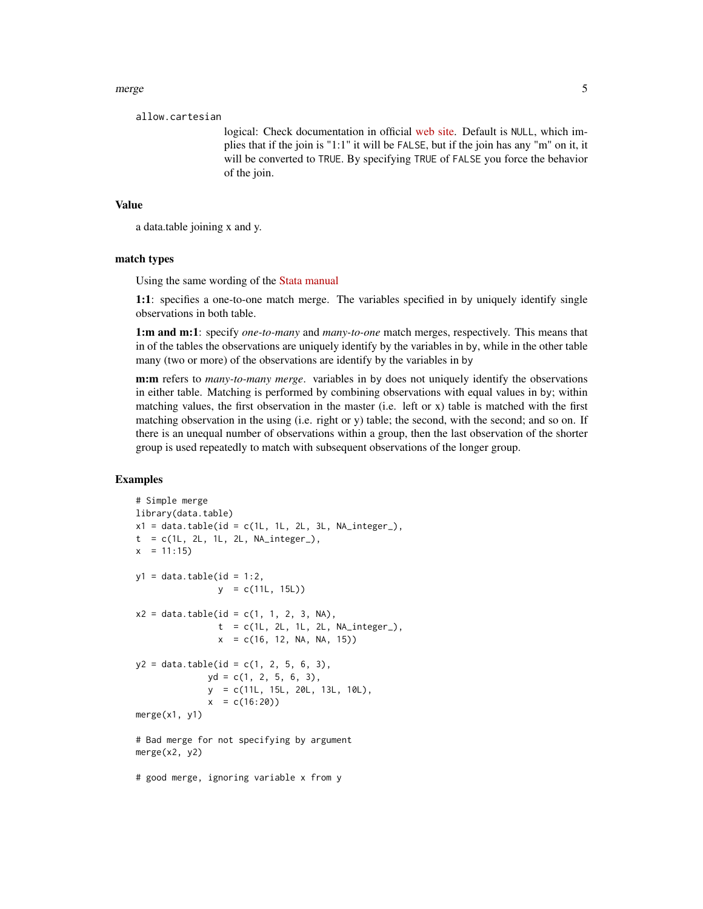merge 5

allow.cartesian

logical: Check documentation in official [web site.](https://rdatatable.gitlab.io/data.table/reference/merge.html/) Default is NULL, which implies that if the join is "1:1" it will be FALSE, but if the join has any "m" on it, it will be converted to TRUE. By specifying TRUE of FALSE you force the behavior of the join.

#### Value

a data.table joining x and y.

#### match types

Using the same wording of the [Stata manual](https://www.stata.com/manuals/dmerge.pdf)

1:1: specifies a one-to-one match merge. The variables specified in by uniquely identify single observations in both table.

1:m and m:1: specify *one-to-many* and *many-to-one* match merges, respectively. This means that in of the tables the observations are uniquely identify by the variables in by, while in the other table many (two or more) of the observations are identify by the variables in by

m:m refers to *many-to-many merge*. variables in by does not uniquely identify the observations in either table. Matching is performed by combining observations with equal values in by; within matching values, the first observation in the master (i.e. left or x) table is matched with the first matching observation in the using (i.e. right or y) table; the second, with the second; and so on. If there is an unequal number of observations within a group, then the last observation of the shorter group is used repeatedly to match with subsequent observations of the longer group.

#### Examples

```
# Simple merge
library(data.table)
x1 = data.table(id = c(1L, 1L, 2L, 3L, NA_interest_),t = c(1L, 2L, 1L, 2L, NA\_integer_),x = 11:15y1 = data table(id = 1:2,y = c(11L, 15L))x2 = data.table(id = c(1, 1, 2, 3, NA),t = c(1L, 2L, 1L, 2L, NA\_integer_),x = c(16, 12, NA, NA, 15)y2 = data.table(id = c(1, 2, 5, 6, 3),yd = c(1, 2, 5, 6, 3),y = c(11L, 15L, 20L, 13L, 10L),
             x = c(16:20)merge(x1, y1)
# Bad merge for not specifying by argument
merge(x2, y2)
# good merge, ignoring variable x from y
```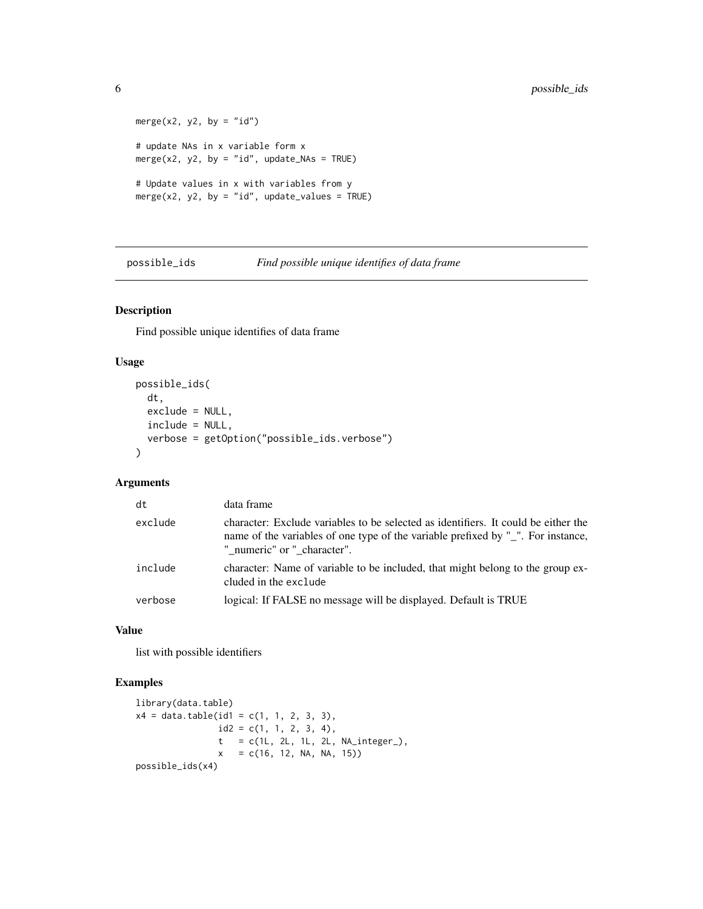```
merge(x2, y2, by = "id")
# update NAs in x variable form x
merge(x2, y2, by = "id", update_NAs = TRUE)
# Update values in x with variables from y
merge(x2, y2, by = "id", update_values = TRUE)
```
possible\_ids *Find possible unique identifies of data frame*

## Description

Find possible unique identifies of data frame

#### Usage

```
possible_ids(
  dt,
  exclude = NULL,
  include = NULL,
  verbose = getOption("possible_ids.verbose")
\mathcal{L}
```
# Arguments

| dt      | data frame                                                                                                                                                                                            |
|---------|-------------------------------------------------------------------------------------------------------------------------------------------------------------------------------------------------------|
| exclude | character: Exclude variables to be selected as identifiers. It could be either the<br>name of the variables of one type of the variable prefixed by "_". For instance,<br>" numeric" or " character". |
| include | character: Name of variable to be included, that might belong to the group ex-<br>cluded in the exclude                                                                                               |
| verbose | logical: If FALSE no message will be displayed. Default is TRUE                                                                                                                                       |

#### Value

list with possible identifiers

#### Examples

```
library(data.table)
x4 = data.table(id1 = c(1, 1, 2, 3, 3),id2 = c(1, 1, 2, 3, 4),t = c(1L, 2L, 1L, 2L, NA\_integer_-),x = c(16, 12, NA, NA, 15)possible_ids(x4)
```
<span id="page-5-0"></span>